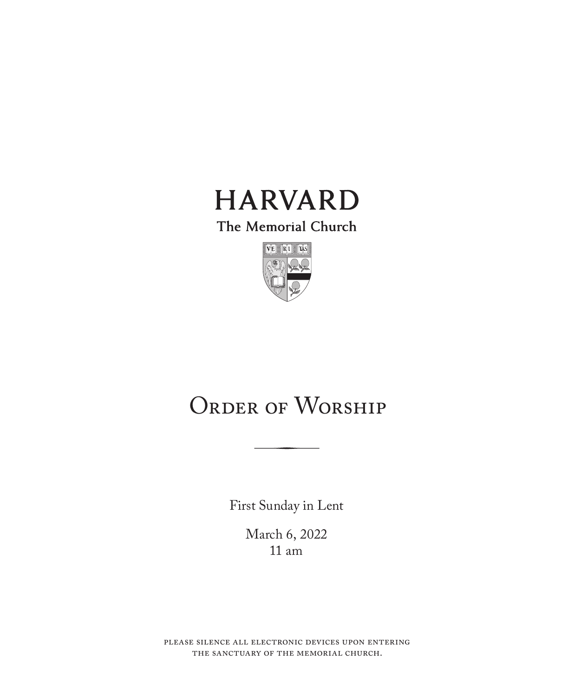

The Memorial Church



## ORDER OF WORSHIP

First Sunday in Lent

March 6, 2022 11 am

please silence all electronic devices upon entering the sanctuary of the memorial church.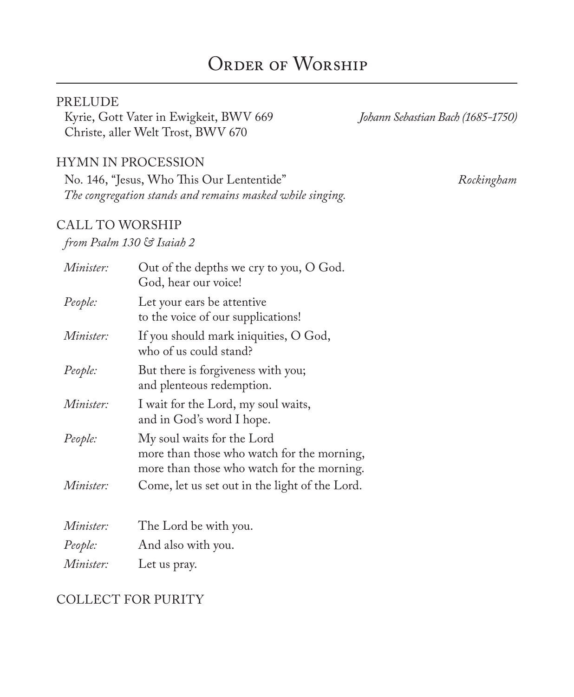## ORDER OF WORSHIP

#### PRELUDE

Kyrie, Gott Vater in Ewigkeit, BWV 669 *Johann Sebastian Bach (1685-1750)* Christe, aller Welt Trost, BWV 670

#### HYMN IN PROCESSION

No. 146, "Jesus, Who This Our Lententide" *Rockingham The congregation stands and remains masked while singing.*

#### CALL TO WORSHIP

#### *from Psalm 130 & Isaiah 2*

| Minister:        | Out of the depths we cry to you, O God.<br>God, hear our voice!                                                        |
|------------------|------------------------------------------------------------------------------------------------------------------------|
| People:          | Let your ears be attentive<br>to the voice of our supplications!                                                       |
| <i>Minister:</i> | If you should mark iniquities, O God,<br>who of us could stand?                                                        |
| People:          | But there is forgiveness with you;<br>and plenteous redemption.                                                        |
| Minister:        | I wait for the Lord, my soul waits,<br>and in God's word I hope.                                                       |
| People:          | My soul waits for the Lord<br>more than those who watch for the morning,<br>more than those who watch for the morning. |
| Minister:        | Come, let us set out in the light of the Lord.                                                                         |
| Minister:        | The Lord be with you.                                                                                                  |
| People:          | And also with you.                                                                                                     |
| Minister:        | Let us pray.                                                                                                           |

## COLLECT FOR PURITY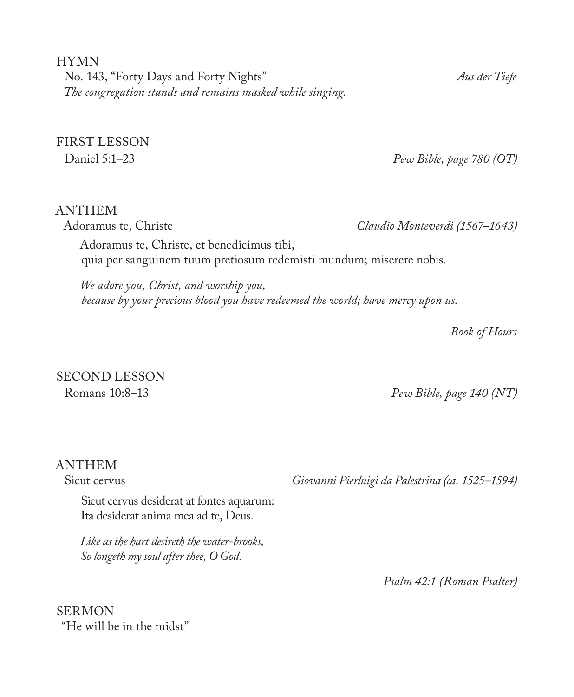HYMN No. 143, "Forty Days and Forty Nights" *Aus der Tiefe The congregation stands and remains masked while singing.*

FIRST LESSON

Daniel 5:1–23 *Pew Bible, page 780 (OT)*

#### ANTHEM

Adoramus te, Christe *Claudio Monteverdi (1567–1643)*

Adoramus te, Christe, et benedicimus tibi, quia per sanguinem tuum pretiosum redemisti mundum; miserere nobis.

*We adore you, Christ, and worship you, because by your precious blood you have redeemed the world; have mercy upon us.*

*Book of Hours*

# SECOND LESSON

Romans 10:8–13 *Pew Bible, page 140 (NT)*

## ANTHEM<br>Sicut cervus

Sicut cervus desiderat at fontes aquarum: Ita desiderat anima mea ad te, Deus.

*Like as the hart desireth the water-brooks, So longeth my soul after thee, O God.*

Giovanni Pierluigi da Palestrina (ca. 1525–1594)

*Psalm 42:1 (Roman Psalter)* 

SERMON "He will be in the midst"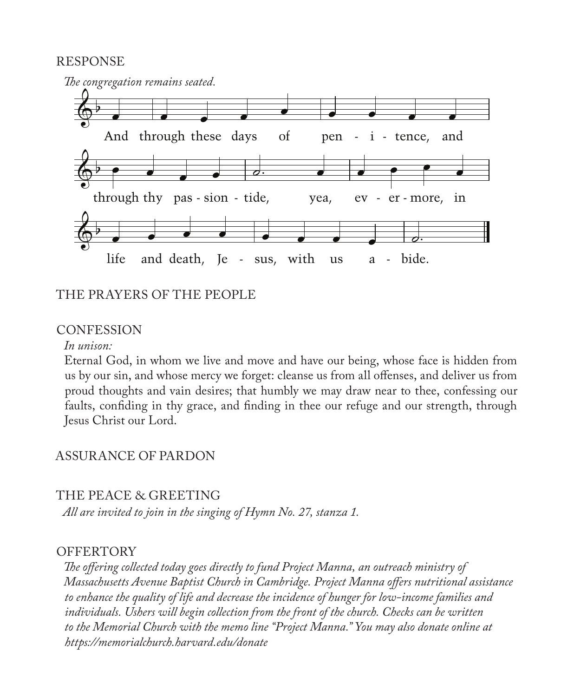#### RESPONSE



#### THE PRAYERS OF THE PEOPLE

#### CONFESSION

*In unison:*

Eternal God, in whom we live and move and have our being, whose face is hidden from us by our sin, and whose mercy we forget: cleanse us from all offenses, and deliver us from proud thoughts and vain desires; that humbly we may draw near to thee, confessing our faults, confiding in thy grace, and finding in thee our refuge and our strength, through Jesus Christ our Lord.

#### ASSURANCE OF PARDON

#### THE PEACE & GREETING

*All are invited to join in the singing of Hymn No. 27, stanza 1.*

#### **OFFERTORY**

*The offering collected today goes directly to fund Project Manna, an outreach ministry of Massachusetts Avenue Baptist Church in Cambridge. Project Manna offers nutritional assistance to enhance the quality of life and decrease the incidence of hunger for low-income families and individuals. Ushers will begin collection from the front of the church. Checks can be written to the Memorial Church with the memo line "Project Manna." You may also donate online at https://memorialchurch.harvard.edu/donate*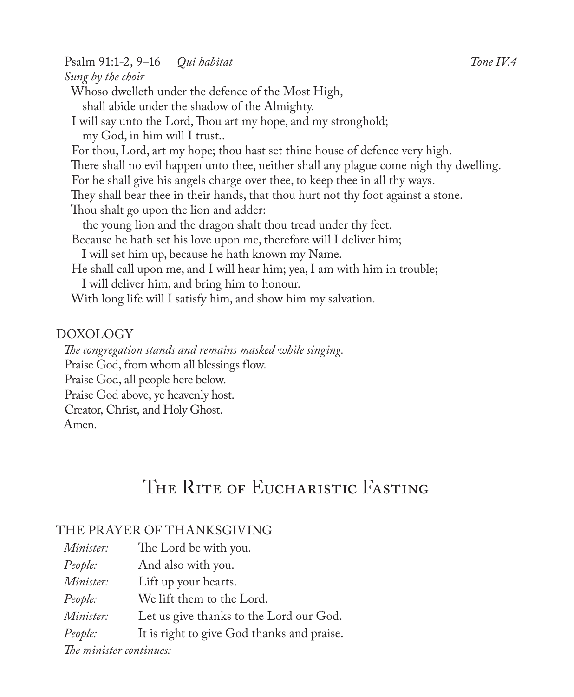Psalm 91:1-2, 9–16 *Qui habitat Tone IV.4 Sung by the choir* Whoso dwelleth under the defence of the Most High, shall abide under the shadow of the Almighty. I will say unto the Lord, Thou art my hope, and my stronghold; my God, in him will I trust.. For thou, Lord, art my hope; thou hast set thine house of defence very high. There shall no evil happen unto thee, neither shall any plague come nigh thy dwelling. For he shall give his angels charge over thee, to keep thee in all thy ways. They shall bear thee in their hands, that thou hurt not thy foot against a stone. Thou shalt go upon the lion and adder: the young lion and the dragon shalt thou tread under thy feet. Because he hath set his love upon me, therefore will I deliver him; I will set him up, because he hath known my Name. He shall call upon me, and I will hear him; yea, I am with him in trouble; I will deliver him, and bring him to honour. With long life will I satisfy him, and show him my salvation.

#### DOXOLOGY

*The congregation stands and remains masked while singing.* Praise God, from whom all blessings flow. Praise God, all people here below. Praise God above, ye heavenly host. Creator, Christ, and Holy Ghost. Amen.

## THE RITE OF EUCHARISTIC FASTING

#### THE PRAYER OF THANKSGIVING

| <i>Minister:</i>        | The Lord be with you.                      |
|-------------------------|--------------------------------------------|
| People:                 | And also with you.                         |
| Minister:               | Lift up your hearts.                       |
| People:                 | We lift them to the Lord.                  |
| Minister:               | Let us give thanks to the Lord our God.    |
| People:                 | It is right to give God thanks and praise. |
| The minister continues: |                                            |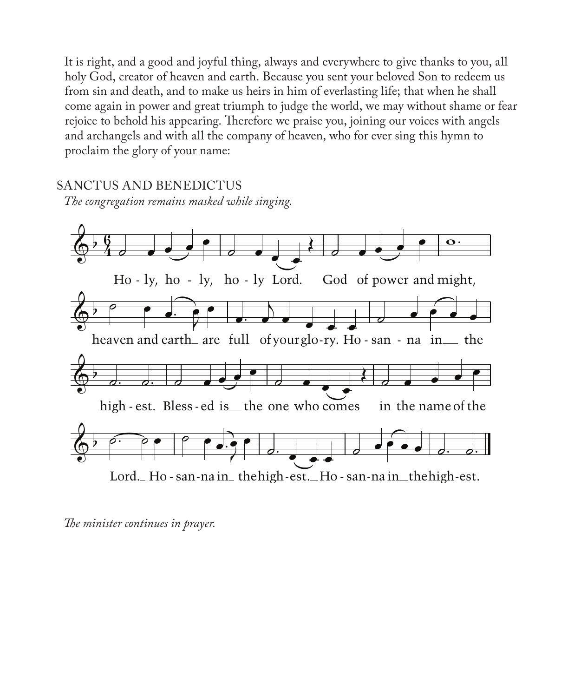It is right, and a good and joyful thing, always and everywhere to give thanks to you, all holy God, creator of heaven and earth. Because you sent your beloved Son to redeem us from sin and death, and to make us heirs in him of everlasting life; that when he shall come again in power and great triumph to judge the world, we may without shame or fear rejoice to behold his appearing. Therefore we praise you, joining our voices with angels and archangels and with all the company of heaven, who for ever sing this hymn to proclaim the glory of your name:

SANCTUS AND BENEDICTUS

*The congregation remains masked while singing.*



*The minister continues in prayer.*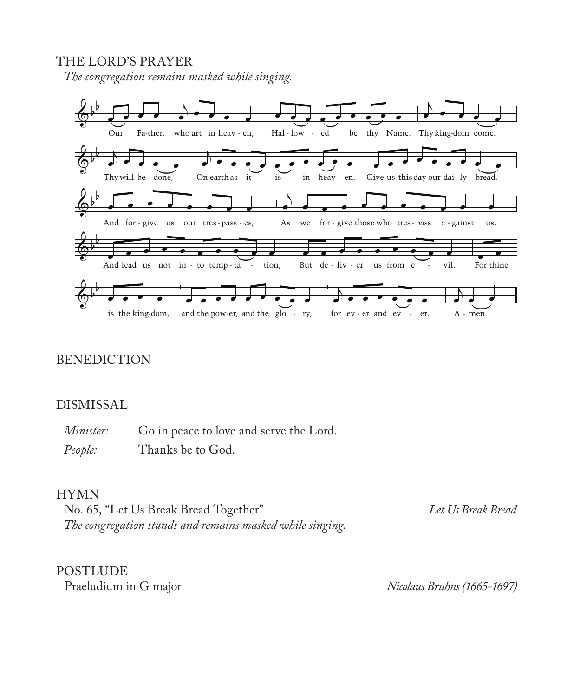#### THE LORD'S PRAYER

*The congregation remains masked while singing.*



#### BENEDICTION

#### DISMISSAL

*Minister:* Go in peace to love and serve the Lord. *People:* Thanks be to God.

#### HYMN

No. 65, "Let Us Break Bread Together" *Let Us Break Bread The congregation stands and remains masked while singing.*

POSTLUDE<br>Praeludium in G major

Praeludium in G major *Nicolaus Bruhns (1665-1697)*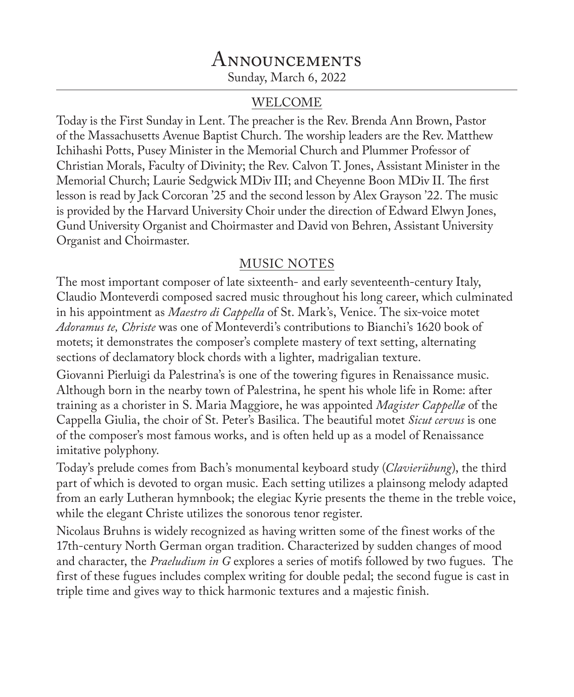## Announcements Sunday, March 6, 2022

#### WELCOME

Today is the First Sunday in Lent. The preacher is the Rev. Brenda Ann Brown, Pastor of the Massachusetts Avenue Baptist Church. The worship leaders are the Rev. Matthew Ichihashi Potts, Pusey Minister in the Memorial Church and Plummer Professor of Christian Morals, Faculty of Divinity; the Rev. Calvon T. Jones, Assistant Minister in the Memorial Church; Laurie Sedgwick MDiv III; and Cheyenne Boon MDiv II. The first lesson is read by Jack Corcoran '25 and the second lesson by Alex Grayson '22. The music is provided by the Harvard University Choir under the direction of Edward Elwyn Jones, Gund University Organist and Choirmaster and David von Behren, Assistant University Organist and Choirmaster.

## MUSIC NOTES

The most important composer of late sixteenth- and early seventeenth-century Italy, Claudio Monteverdi composed sacred music throughout his long career, which culminated in his appointment as *Maestro di Cappella* of St. Mark's, Venice. The six-voice motet *Adoramus te, Christe* was one of Monteverdi's contributions to Bianchi's 1620 book of motets; it demonstrates the composer's complete mastery of text setting, alternating sections of declamatory block chords with a lighter, madrigalian texture.

Giovanni Pierluigi da Palestrina's is one of the towering figures in Renaissance music. Although born in the nearby town of Palestrina, he spent his whole life in Rome: after training as a chorister in S. Maria Maggiore, he was appointed *Magister Cappellæ* of the Cappella Giulia, the choir of St. Peter's Basilica. The beautiful motet *Sicut cervus* is one of the composer's most famous works, and is often held up as a model of Renaissance imitative polyphony.

Today's prelude comes from Bach's monumental keyboard study (*Clavierübung*), the third part of which is devoted to organ music. Each setting utilizes a plainsong melody adapted from an early Lutheran hymnbook; the elegiac Kyrie presents the theme in the treble voice, while the elegant Christe utilizes the sonorous tenor register.

Nicolaus Bruhns is widely recognized as having written some of the finest works of the 17th-century North German organ tradition. Characterized by sudden changes of mood and character, the *Praeludium in G* explores a series of motifs followed by two fugues. The first of these fugues includes complex writing for double pedal; the second fugue is cast in triple time and gives way to thick harmonic textures and a majestic finish.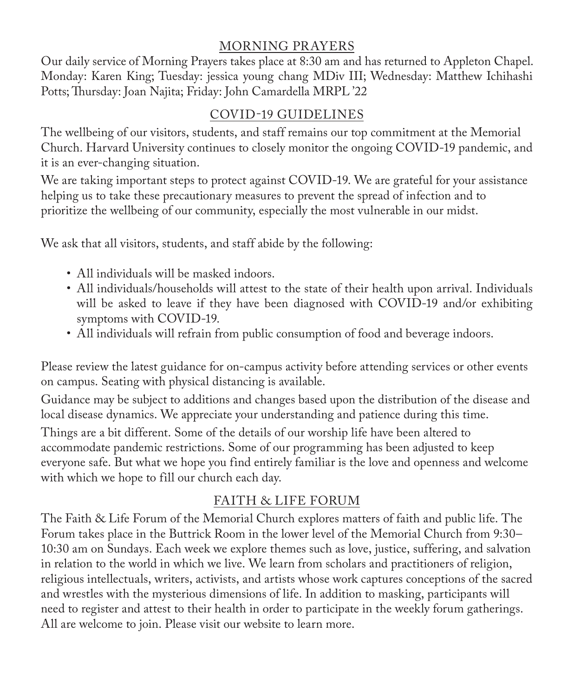## MORNING PRAYERS

Our daily service of Morning Prayers takes place at 8:30 am and has returned to Appleton Chapel. Monday: Karen King; Tuesday: jessica young chang MDiv III; Wednesday: Matthew Ichihashi Potts; Thursday: Joan Najita; Friday: John Camardella MRPL '22

## COVID-19 GUIDELINES

The wellbeing of our visitors, students, and staff remains our top commitment at the Memorial Church. Harvard University continues to closely monitor the ongoing COVID-19 pandemic, and it is an ever-changing situation.

We are taking important steps to protect against COVID-19. We are grateful for your assistance helping us to take these precautionary measures to prevent the spread of infection and to prioritize the wellbeing of our community, especially the most vulnerable in our midst.

We ask that all visitors, students, and staff abide by the following:

- All individuals will be masked indoors.
- All individuals/households will attest to the state of their health upon arrival. Individuals will be asked to leave if they have been diagnosed with COVID-19 and/or exhibiting symptoms with COVID-19.
- All individuals will refrain from public consumption of food and beverage indoors.

Please review the latest guidance for on-campus activity before attending services or other events on campus. Seating with physical distancing is available.

Guidance may be subject to additions and changes based upon the distribution of the disease and local disease dynamics. We appreciate your understanding and patience during this time.

Things are a bit different. Some of the details of our worship life have been altered to accommodate pandemic restrictions. Some of our programming has been adjusted to keep everyone safe. But what we hope you find entirely familiar is the love and openness and welcome with which we hope to fill our church each day.

## FAITH & LIFE FORUM

The Faith & Life Forum of the Memorial Church explores matters of faith and public life. The Forum takes place in the Buttrick Room in the lower level of the Memorial Church from 9:30– 10:30 am on Sundays. Each week we explore themes such as love, justice, suffering, and salvation in relation to the world in which we live. We learn from scholars and practitioners of religion, religious intellectuals, writers, activists, and artists whose work captures conceptions of the sacred and wrestles with the mysterious dimensions of life. In addition to masking, participants will need to register and attest to their health in order to participate in the weekly forum gatherings. All are welcome to join. Please visit our website to learn more.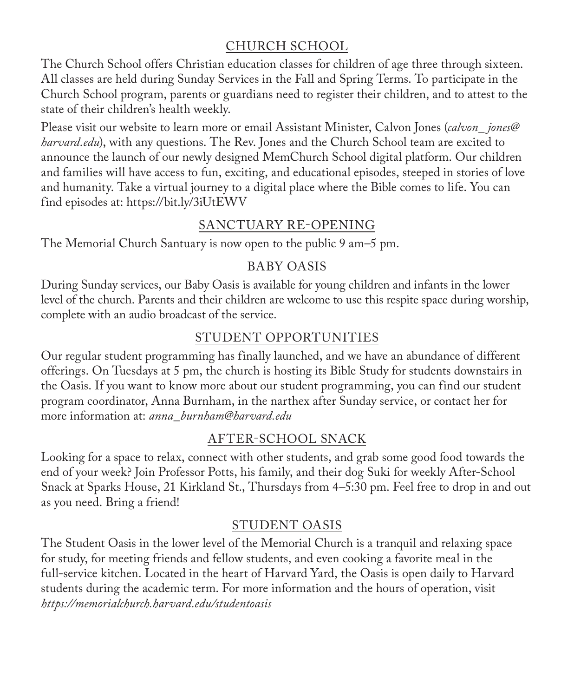## CHURCH SCHOOL

The Church School offers Christian education classes for children of age three through sixteen. All classes are held during Sunday Services in the Fall and Spring Terms. To participate in the Church School program, parents or guardians need to register their children, and to attest to the state of their children's health weekly.

Please visit our website to learn more or email Assistant Minister, Calvon Jones (*calvon\_ jones@ harvard.edu*), with any questions. The Rev. Jones and the Church School team are excited to announce the launch of our newly designed MemChurch School digital platform. Our children and families will have access to fun, exciting, and educational episodes, steeped in stories of love and humanity. Take a virtual journey to a digital place where the Bible comes to life. You can find episodes at: https://bit.ly/3iUtEWV

## SANCTUARY RE-OPENING

The Memorial Church Santuary is now open to the public 9 am–5 pm.

## BABY OASIS

During Sunday services, our Baby Oasis is available for young children and infants in the lower level of the church. Parents and their children are welcome to use this respite space during worship, complete with an audio broadcast of the service.

## STUDENT OPPORTUNITIES

Our regular student programming has finally launched, and we have an abundance of different offerings. On Tuesdays at 5 pm, the church is hosting its Bible Study for students downstairs in the Oasis. If you want to know more about our student programming, you can find our student program coordinator, Anna Burnham, in the narthex after Sunday service, or contact her for more information at: *anna\_burnham@harvard.edu*

## AFTER-SCHOOL SNACK

Looking for a space to relax, connect with other students, and grab some good food towards the end of your week? Join Professor Potts, his family, and their dog Suki for weekly After-School Snack at Sparks House, 21 Kirkland St., Thursdays from 4–5:30 pm. Feel free to drop in and out as you need. Bring a friend!

## STUDENT OASIS

The Student Oasis in the lower level of the Memorial Church is a tranquil and relaxing space for study, for meeting friends and fellow students, and even cooking a favorite meal in the full-service kitchen. Located in the heart of Harvard Yard, the Oasis is open daily to Harvard students during the academic term. For more information and the hours of operation, visit *https://memorialchurch.harvard.edu/studentoasis*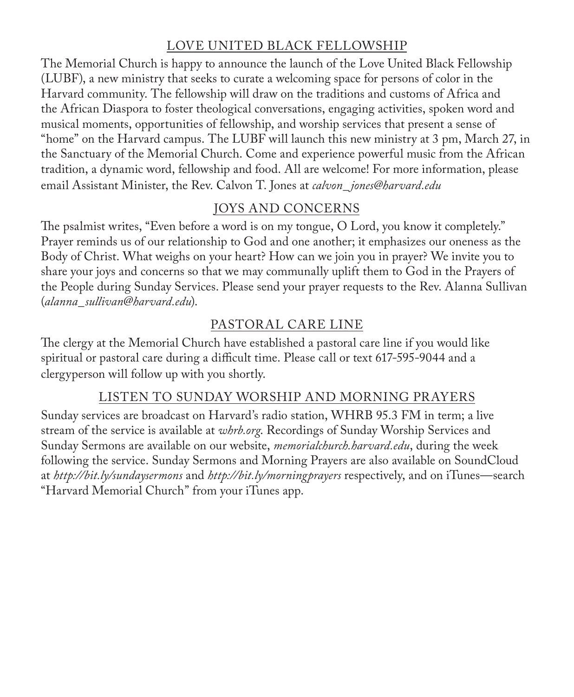## LOVE UNITED BLACK FELLOWSHIP

The Memorial Church is happy to announce the launch of the Love United Black Fellowship (LUBF), a new ministry that seeks to curate a welcoming space for persons of color in the Harvard community. The fellowship will draw on the traditions and customs of Africa and the African Diaspora to foster theological conversations, engaging activities, spoken word and musical moments, opportunities of fellowship, and worship services that present a sense of "home" on the Harvard campus. The LUBF will launch this new ministry at 3 pm, March 27, in the Sanctuary of the Memorial Church. Come and experience powerful music from the African tradition, a dynamic word, fellowship and food. All are welcome! For more information, please email Assistant Minister, the Rev. Calvon T. Jones at *calvon\_ jones@harvard.edu*

## JOYS AND CONCERNS

The psalmist writes, "Even before a word is on my tongue, O Lord, you know it completely." Prayer reminds us of our relationship to God and one another; it emphasizes our oneness as the Body of Christ. What weighs on your heart? How can we join you in prayer? We invite you to share your joys and concerns so that we may communally uplift them to God in the Prayers of the People during Sunday Services. Please send your prayer requests to the Rev. Alanna Sullivan (*alanna\_sullivan*@*harvard.edu*).

## PASTORAL CARE LINE

The clergy at the Memorial Church have established a pastoral care line if you would like spiritual or pastoral care during a difficult time. Please call or text 617-595-9044 and a clergyperson will follow up with you shortly.

## LISTEN TO SUNDAY WORSHIP AND MORNING PRAYERS

Sunday services are broadcast on Harvard's radio station, WHRB 95.3 FM in term; a live stream of the service is available at *whrb.org*. Recordings of Sunday Worship Services and Sunday Sermons are available on our website, *memorialchurch.harvard.edu*, during the week following the service. Sunday Sermons and Morning Prayers are also available on SoundCloud at *http://bit.ly/sundaysermons* and *http://bit.ly/morningprayers* respectively, and on iTunes—search "Harvard Memorial Church" from your iTunes app.